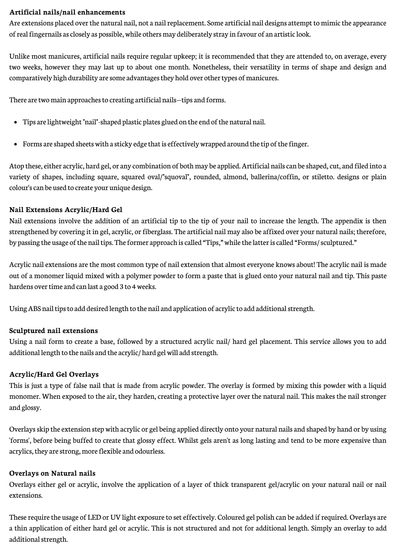#### **Artificial nails/nail enhancements**

Are extensions placed over the natural nail, not a nail replacement. Some artificial nail designs attempt to mimic the appearance of real fingernails as closely as possible, while others may deliberately stray in favour of an artistic look.

Unlike most manicures, artificial nails require regular upkeep; it is recommended that they are attended to, on average, every two weeks, however they may last up to about one month. Nonetheless, their versatility in terms of shape and design and comparatively high durability are some advantages they hold over other types of manicures.

There are two main approaches to creating artificial nails—tips and forms.

- Tips are lightweight "nail"-shaped plastic plates glued on the end of the natural nail.
- Forms are shaped sheets with a sticky edge that is effectively wrapped around the tip of the finger.

Atop these, either acrylic, hard gel, or any combination of both may be applied. Artificial nails can be shaped, cut, and filed into a variety of shapes, including square, squared oval/"squoval", rounded, almond, ballerina/coffin, or stiletto. designs or plain colour's can be used to create your unique design.

#### **Nail Extensions Acrylic/Hard Gel**

Nail extensions involve the addition of an artificial tip to the tip of your nail to increase the length. The appendix is then strengthened by covering it in gel, acrylic, or fiberglass. The artificial nail may also be affixed over your natural nails; therefore, by passing the usage of the nail tips. The former approach is called "Tips," while the latter is called "Forms/ sculptured."

Acrylic nail extensions are the most common type of nail extension that almost everyone knows about! The acrylic nail is made out of a monomer liquid mixed with a polymer powder to form a paste that is glued onto your natural nail and tip. This paste hardens over time and can last a good 3 to 4 weeks.

Using ABS nail tips to add desired length to the nail and application of acrylic to add additional strength.

#### **Sculptured nail extensions**

Using a nail form to create a base, followed by a structured acrylic nail/ hard gel placement. This service allows you to add additional length to the nails and the acrylic/ hard gel will add strength.

#### **Acrylic/Hard Gel Overlays**

This is just a type of false nail that is made from acrylic powder. The overlay is formed by mixing this powder with a liquid monomer. When exposed to the air, they harden, creating a protective layer over the natural nail. This makes the nail stronger and glossy.

Overlays skip the extension step with acrylic or gel being applied directly onto your natural nails and shaped by hand or by using 'forms', before being buffed to create that glossy effect. Whilst gels aren't as long lasting and tend to be more expensive than acrylics, they are strong, more flexible and odourless.

#### **Overlays on Natural nails**

Overlays either gel or acrylic, involve the application of a layer of thick transparent gel/acrylic on your natural nail or nail extensions.

These require the usage of LED or UV light exposure to set effectively. Coloured gel polish can be added if required. Overlays are a thin application of either hard gel or acrylic. This is not structured and not for additional length. Simply an overlay to add additional strength.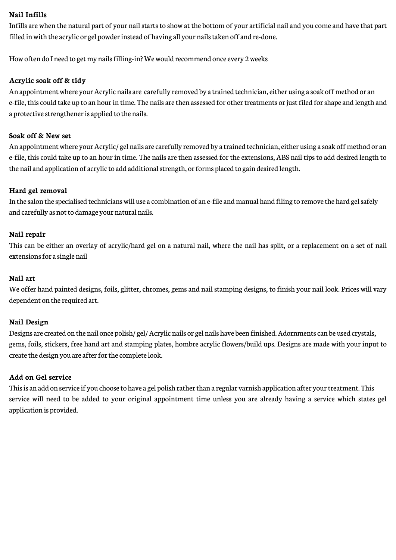### **Nail Infills**

Infills are when the natural part of your nail starts to show at the bottom of your artificial nail and you come and have that part filled in with the acrylic or gel powder instead of having all your nails taken off and re-done.

How often do I need to get my nails filling-in? We would recommend once every 2 weeks

## **Acrylic soak off & tidy**

An appointment where your Acrylic nails are carefully removed by a trained technician, either using a soak off method or an e-file, this could take up to an hour in time. The nails are then assessed for other treatments or just filed for shape and length and a protective strengthener is applied to the nails.

# **Soak off & New set**

An appointment where your Acrylic/ gel nails are carefully removed by a trained technician, either using a soak off method or an e-file, this could take up to an hour in time. The nails are then assessed for the extensions, ABS nail tips to add desired length to the nail and application of acrylic to add additional strength, or forms placed to gain desired length.

### **Hard gel removal**

In the salon the specialised technicians will use a combination of an e-file and manual hand filing to remove the hard gel safely and carefully as not to damage your natural nails.

#### **Nail repair**

This can be either an overlay of acrylic/hard gel on a natural nail, where the nail has split, or a replacement on a set of nail extensions for a single nail

#### **Nail art**

We offer hand painted designs, foils, glitter, chromes, gems and nail stamping designs, to finish your nail look. Prices will vary dependent on the required art.

#### **Nail Design**

Designs are created on the nail once polish/ gel/ Acrylic nails or gel nails have been finished. Adornments can be used crystals, gems, foils, stickers, free hand art and stamping plates, hombre acrylic flowers/build ups. Designs are made with your input to create the design you are after for the complete look.

### **Add on Gel service**

This is an add on service if you choose to have a gel polish rather than a regular varnish application after your treatment. This service will need to be added to your original appointment time unless you are already having a service which states gel application is provided.